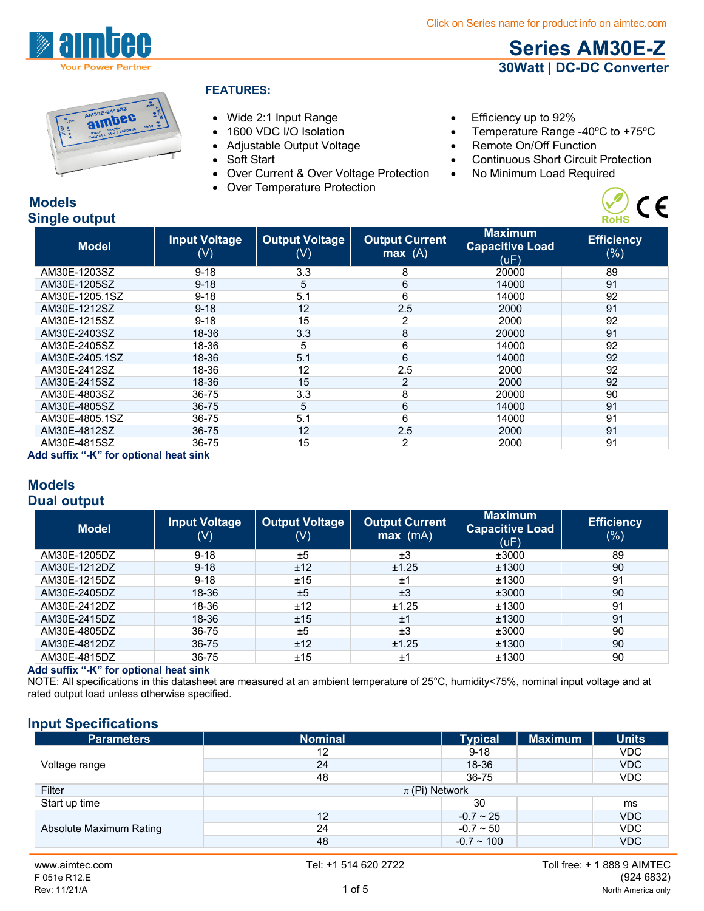**Series AM30E-Z 30Watt | DC-DC Converter**

 $C \in$ 



#### **FEATURES:**

- Wide 2:1 Input Range **Efficiency up to 92%**
- 
- 
- 
- Over Current & Over Voltage Protection . No Minimum Load Required
- Over Temperature Protection
- 
- 1600 VDC I/O Isolation Temperature Range -40°C to +75°C
- Adjustable Output Voltage Remote On/Off Function
- Soft Start Continuous Short Circuit Protection
	-

#### **Models Single output**

| omgle output                                      |                             |                              |                                 |                                                  | <b>ROHS</b>                 |  |
|---------------------------------------------------|-----------------------------|------------------------------|---------------------------------|--------------------------------------------------|-----------------------------|--|
| <b>Model</b>                                      | <b>Input Voltage</b><br>(V) | <b>Output Voltage</b><br>(V) | <b>Output Current</b><br>max(A) | <b>Maximum</b><br><b>Capacitive Load</b><br>(UF) | <b>Efficiency</b><br>$(\%)$ |  |
| AM30E-1203SZ                                      | $9 - 18$                    | 3.3                          | 8                               | 20000                                            | 89                          |  |
| AM30E-1205SZ                                      | $9 - 18$                    | 5                            | 6                               | 14000                                            | 91                          |  |
| AM30E-1205.1SZ                                    | $9 - 18$                    | 5.1                          | 6                               | 14000                                            | 92                          |  |
| AM30E-1212SZ                                      | $9 - 18$                    | 12                           | 2.5                             | 2000                                             | 91                          |  |
| AM30E-1215SZ                                      | $9 - 18$                    | 15                           | 2                               | 2000                                             | 92                          |  |
| AM30E-2403SZ                                      | 18-36                       | 3.3                          | 8                               | 20000                                            | 91                          |  |
| AM30E-2405SZ                                      | 18-36                       | 5                            | 6                               | 14000                                            | 92                          |  |
| AM30E-2405.1SZ                                    | 18-36                       | 5.1                          | 6                               | 14000                                            | 92                          |  |
| AM30E-2412SZ                                      | 18-36                       | 12                           | 2.5                             | 2000                                             | 92                          |  |
| AM30E-2415SZ                                      | 18-36                       | 15                           | $\overline{2}$                  | 2000                                             | 92                          |  |
| AM30E-4803SZ                                      | 36-75                       | 3.3                          | 8                               | 20000                                            | 90                          |  |
| AM30E-4805SZ                                      | 36-75                       | 5                            | 6                               | 14000                                            | 91                          |  |
| AM30E-4805.1SZ                                    | 36-75                       | 5.1                          | 6                               | 14000                                            | 91                          |  |
| AM30E-4812SZ                                      | 36-75                       | 12                           | 2.5                             | 2000                                             | 91                          |  |
| AM30E-4815SZ                                      | 36-75                       | 15                           | $\overline{c}$                  | 2000                                             | 91                          |  |
| الماجات فمرمط المستملك مسمك للكاركة بتلكك بمراحات |                             |                              |                                 |                                                  |                             |  |

**Add suffix "-K" for optional heat sink**

#### **Models Dual output**

| <b>Model</b> | <b>Input Voltage</b><br>$(\mathsf{V})$ | <b>Output Voltage</b><br>(V) | <b>Output Current</b><br>$max$ (mA) | <b>Maximum</b><br><b>Capacitive Load</b><br>(uF) | <b>Efficiency</b><br>$(\% )$ |
|--------------|----------------------------------------|------------------------------|-------------------------------------|--------------------------------------------------|------------------------------|
| AM30E-1205DZ | $9 - 18$                               | ±5                           | ±3                                  | ±3000                                            | 89                           |
| AM30E-1212DZ | $9 - 18$                               | ±12                          | ±1.25                               | ±1300                                            | 90                           |
| AM30E-1215DZ | $9 - 18$                               | ±15                          | ±1                                  | ±1300                                            | 91                           |
| AM30E-2405DZ | 18-36                                  | ±5                           | ±3                                  | ±3000                                            | 90                           |
| AM30E-2412DZ | 18-36                                  | ±12                          | ±1.25                               | ±1300                                            | 91                           |
| AM30E-2415DZ | 18-36                                  | ±15                          | ±1                                  | ±1300                                            | 91                           |
| AM30E-4805DZ | 36-75                                  | ±5                           | ±3                                  | ±3000                                            | 90                           |
| AM30E-4812DZ | 36-75                                  | ±12                          | ±1.25                               | ±1300                                            | 90                           |
| AM30E-4815DZ | 36-75                                  | ±15                          | ±1                                  | ±1300                                            | 90                           |

#### **Add suffix "-K" for optional heat sink**

NOTE: All specifications in this datasheet are measured at an ambient temperature of 25°C, humidity<75%, nominal input voltage and at rated output load unless otherwise specified.

#### **Input Specifications**

| <b>Parameters</b>       | <b>Nominal</b>     | <b>Typical</b> | <b>Maximum</b> | <b>Units</b> |
|-------------------------|--------------------|----------------|----------------|--------------|
|                         | 12                 | $9 - 18$       |                | <b>VDC</b>   |
| Voltage range           | 24                 | 18-36          |                | <b>VDC</b>   |
|                         | 48                 | 36-75          |                | <b>VDC</b>   |
| Filter                  | $\pi$ (Pi) Network |                |                |              |
| Start up time           |                    | 30             |                | ms           |
|                         | 12                 | $-0.7 - 25$    |                | <b>VDC</b>   |
| Absolute Maximum Rating | 24                 | $-0.7 - 50$    |                | <b>VDC</b>   |
|                         | 48                 | $-0.7 - 100$   |                | <b>VDC</b>   |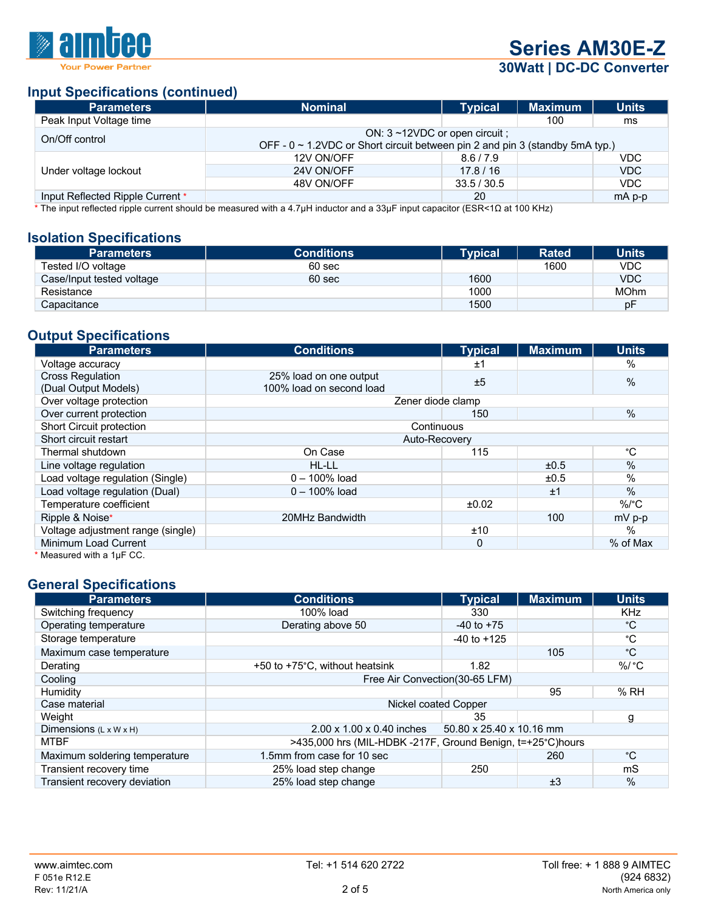

# **Series AM30E-Z**

# **30Watt | DC-DC Converter**

# **Input Specifications (continued)**

| <b>Parameters</b>                | <b>Nominal</b>                                                                                                     | <b>Typical</b> | <b>Maximum</b> | <b>Units</b> |  |
|----------------------------------|--------------------------------------------------------------------------------------------------------------------|----------------|----------------|--------------|--|
| Peak Input Voltage time          |                                                                                                                    |                | 100            | ms           |  |
| On/Off control                   | ON: 3~12VDC or open circuit;<br>OFF - $0 \sim 1.2$ VDC or Short circuit between pin 2 and pin 3 (standby 5mA typ.) |                |                |              |  |
|                                  | 12V ON/OFF                                                                                                         | 8.6/7.9        |                | <b>VDC</b>   |  |
| Under voltage lockout            | 24V ON/OFF                                                                                                         | 17.8/16        |                | VDC          |  |
|                                  | 48V ON/OFF                                                                                                         | 33.5 / 30.5    |                | VDC.         |  |
| Input Reflected Ripple Current * |                                                                                                                    | 20             |                | $mAp-p$      |  |

\* The input reflected ripple current should be measured with a 4.7μH inductor and a 33μF input capacitor (ESR<1Ω at 100 KHz)

#### **Isolation Specifications**

| <b>Parameters</b>         | <b>Conditions</b> | <b>Typical</b> | <b>Rated</b> | <b>Units</b> |
|---------------------------|-------------------|----------------|--------------|--------------|
| Tested I/O voltage        | 60 sec            |                | 1600         | VDC          |
| Case/Input tested voltage | 60 sec            | 1600           |              | <b>VDC</b>   |
| Resistance                |                   | 1000           |              | <b>MOhm</b>  |
| Capacitance               |                   | 1500           |              | рF           |

# **Output Specifications**

| <b>Parameters</b>                                                                | <b>Conditions</b>        | <b>Typical</b> | <b>Maximum</b> | <b>Units</b> |
|----------------------------------------------------------------------------------|--------------------------|----------------|----------------|--------------|
| Voltage accuracy                                                                 |                          | ±1             |                | $\%$         |
| <b>Cross Regulation</b>                                                          | 25% load on one output   | ±5             |                | %            |
| (Dual Output Models)                                                             | 100% load on second load |                |                |              |
| Over voltage protection                                                          | Zener diode clamp        |                |                |              |
| Over current protection                                                          |                          | 150            |                | %            |
| Short Circuit protection<br>Continuous<br>Short circuit restart<br>Auto-Recovery |                          |                |                |              |
|                                                                                  |                          |                |                |              |
| Thermal shutdown                                                                 | On Case                  | 115            |                | °С           |
| Line voltage regulation                                                          | HL-LL                    |                | ±0.5           | $\%$         |
| Load voltage regulation (Single)                                                 | $0 - 100\%$ load         |                | ±0.5           | $\%$         |
| Load voltage regulation (Dual)                                                   | $0 - 100\%$ load         |                | ±1             | $\%$         |
| Temperature coefficient                                                          |                          | ±0.02          |                | $\%$ /°C     |
| Ripple & Noise*                                                                  | 20MHz Bandwidth          |                | 100            | $mV$ p-p     |
| Voltage adjustment range (single)                                                |                          | ±10            |                | $\%$         |
| Minimum Load Current                                                             |                          | 0              |                | % of Max     |
| $^*$ Measured with a 1uF CC.                                                     |                          |                |                |              |

Measured with a  $1\mu$ F CC.

### **General Specifications**

| <b>Parameters</b>                  | <b>Conditions</b>                                          | <b>Typical</b>           | <b>Maximum</b> | <b>Units</b> |
|------------------------------------|------------------------------------------------------------|--------------------------|----------------|--------------|
| Switching frequency                | 100% load                                                  | 330                      |                | <b>KHz</b>   |
| Operating temperature              | Derating above 50                                          | $-40$ to $+75$           |                | °C           |
| Storage temperature                |                                                            | $-40$ to $+125$          |                | °C           |
| Maximum case temperature           |                                                            |                          | 105            | °C           |
| Derating                           | +50 to +75°C, without heatsink                             | 1.82                     |                | %/ °C        |
| Cooling                            | Free Air Convection (30-65 LFM)                            |                          |                |              |
| Humidity                           |                                                            |                          | 95             | %RH          |
| Case material                      | Nickel coated Copper                                       |                          |                |              |
| Weight                             |                                                            | 35                       |                | g            |
| Dimensions $(L \times W \times H)$ | $2.00 \times 1.00 \times 0.40$ inches                      | 50.80 x 25.40 x 10.16 mm |                |              |
| <b>MTBF</b>                        | >435,000 hrs (MIL-HDBK -217F, Ground Benign, t=+25°C)hours |                          |                |              |
| Maximum soldering temperature      | 1.5mm from case for 10 sec                                 |                          | 260            | °C           |
| Transient recovery time            | 25% load step change                                       | 250                      |                | mS           |
| Transient recovery deviation       | 25% load step change                                       |                          | ±3             | $\%$         |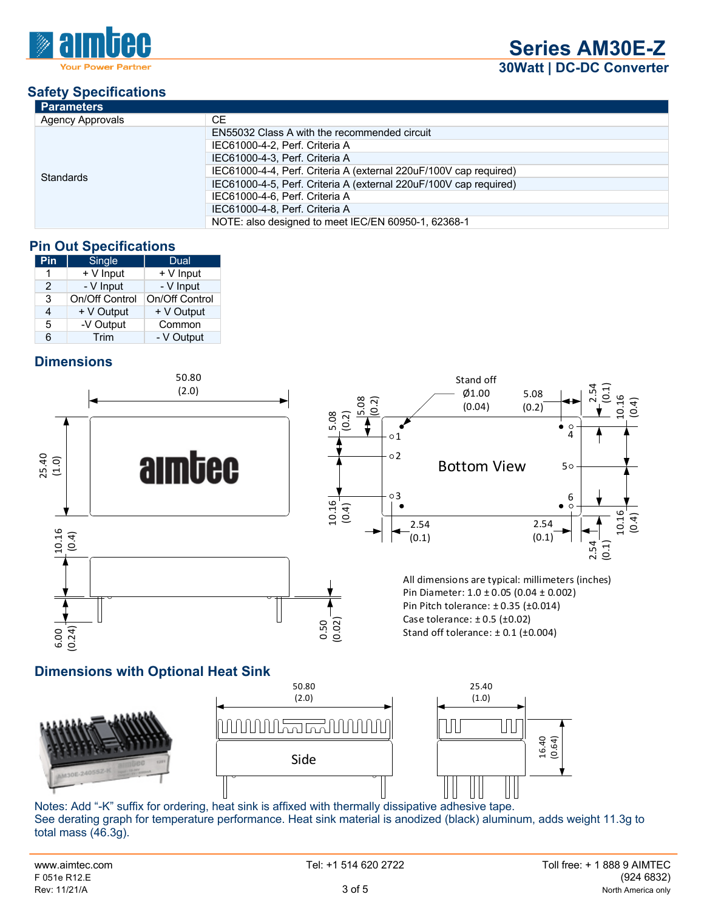

| <b>Parameters</b>       |                                                                   |  |  |  |
|-------------------------|-------------------------------------------------------------------|--|--|--|
| <b>Agency Approvals</b> | CE.                                                               |  |  |  |
|                         | EN55032 Class A with the recommended circuit                      |  |  |  |
|                         | IEC61000-4-2, Perf. Criteria A                                    |  |  |  |
|                         | IEC61000-4-3. Perf. Criteria A                                    |  |  |  |
| <b>Standards</b>        | IEC61000-4-4, Perf. Criteria A (external 220uF/100V cap required) |  |  |  |
|                         | IEC61000-4-5, Perf. Criteria A (external 220uF/100V cap required) |  |  |  |
|                         | IEC61000-4-6, Perf. Criteria A                                    |  |  |  |
|                         | IEC61000-4-8, Perf. Criteria A                                    |  |  |  |
|                         | NOTE: also designed to meet IEC/EN 60950-1, 62368-1               |  |  |  |

# **Pin Out Specifications**

| Pin           | Single         | Dual           |  |  |
|---------------|----------------|----------------|--|--|
|               | + V Input      | + V Input      |  |  |
| $\mathcal{P}$ | - V Input      | - V Input      |  |  |
| 3             | On/Off Control | On/Off Control |  |  |
| 4             | + V Output     | + V Output     |  |  |
| 5             | -V Output      | Common         |  |  |
| 6             | Trim           | - V Output     |  |  |

# **Dimensions**



# **Dimensions with Optional Heat Sink**



 Notes: Add "-K" suffix for ordering, heat sink is affixed with thermally dissipative adhesive tape. See derating graph for temperature performance. Heat sink material is anodized (black) aluminum, adds weight 11.3g to total mass (46.3g).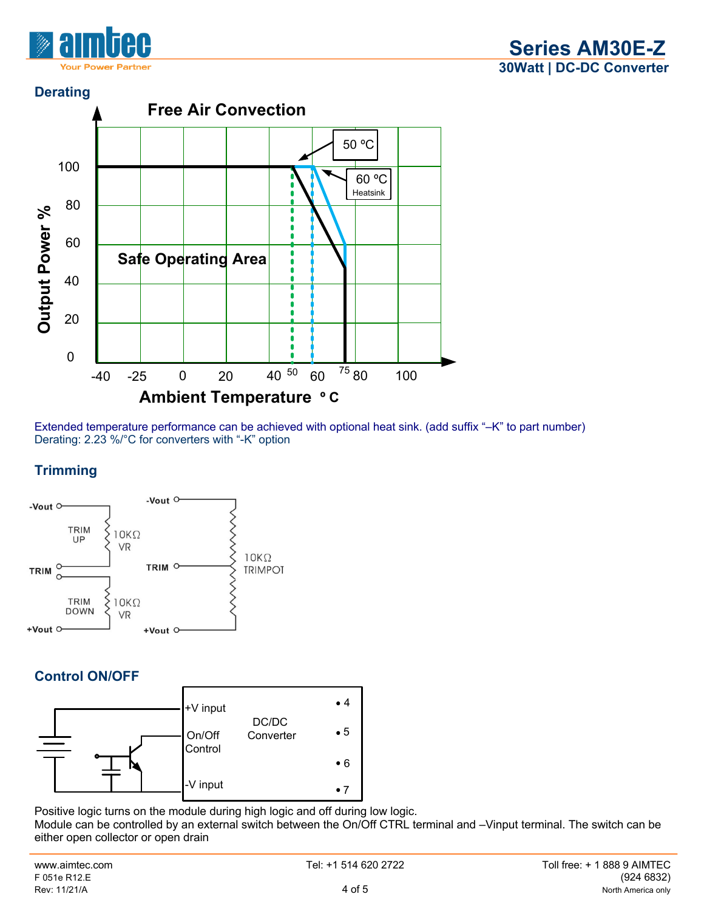



Extended temperature performance can be achieved with optional heat sink. (add suffix "–K" to part number) Derating: 2.23 %/°C for converters with "-K" option

# **Trimming**



# **Control ON/OFF**



Positive logic turns on the module during high logic and off during low logic.

Module can be controlled by an external switch between the On/Off CTRL terminal and –Vinput terminal. The switch can be either open collector or open drain